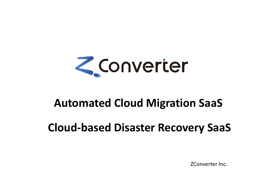

## **Automated Cloud Migration SaaS**

# **Cloud-based Disaster Recovery SaaS**

ZConverter Inc.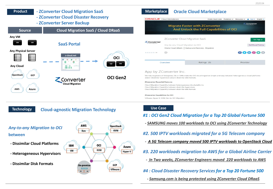

#### **Technology Cloud-agnostic Migration Technology**



#### **Use Case**

#### *#1 : OCI Gen2 Cloud Migration for a Top 20 Global Fortune 500*

- *- SAMSUNG moves 100 workloads to OCI using ZConverter Technology*
- *#2. 500 IPTV workloads migrated for a 5G Telecom company*
- *- A 5G Telecom company moved 500 IPTV workloads to OpenStack Cloud*
- *#3. 220 workloads migration to AWS for a Global Airline Carrier*
- *- In Two weeks, ZConverter Engineers moved 220 workloads to AWS*

*#4 : Cloud Disaster Recovery Services for a Top 20 Fortune 500*

*- Samsung.com is being protected using ZConverter Cloud DRaaS*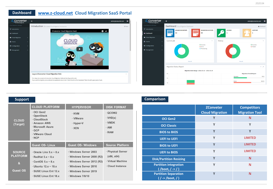### **Dashboard [www.z-cloud.net](http://www.z-cloud.net/) Cloud Migration SaaS Portal**





|                          | <b>CLOUD PLATFORM</b>                                                                                                        | <b>HYPERVISOR</b>                             | <b>DISK FORMAT</b>                                      |
|--------------------------|------------------------------------------------------------------------------------------------------------------------------|-----------------------------------------------|---------------------------------------------------------|
| <b>CLOUD</b><br>(Target) | OCI Gen2<br>· OpenStack<br>· CloudStack<br>· Amazon AWS<br>· Microsoft Azure<br>$\cdot$ GCP<br>· VMware Cloud<br>$\cdot$ NCP | · KVM<br>· VMware<br>· Hyper-V<br>$\cdot$ XEN | · QCOW2<br>$\cdot$ VHD(x)<br>· VMDK<br>$·$ AMI<br>· RAW |
|                          |                                                                                                                              |                                               |                                                         |
|                          | <b>Guest OS- Linux</b>                                                                                                       | <b>Guest OS- Windows</b>                      | <b>Source Platform</b>                                  |

#### **Support Comparison**

|                                                   | <b>ZConveter</b><br><b>Cloud Migration</b> | <b>Competitors</b><br><b>Migration Tool</b> |
|---------------------------------------------------|--------------------------------------------|---------------------------------------------|
| <b>OCI Gen2</b>                                   | Y                                          | N                                           |
| <b>OCI Classic</b>                                | Y                                          | Υ                                           |
| <b>BIOS to BIOS</b>                               | Y                                          | Υ                                           |
| <b>UEFI to UEFI</b>                               | Υ                                          | <b>LIMITED</b>                              |
| <b>BIOS to UEFI</b>                               | Y                                          | <b>LIMITED</b>                              |
| <b>UEFI to BIOS</b>                               | Y                                          | <b>LIMITED</b>                              |
| <b>Disk/Partition Resizing</b>                    | Y                                          | N                                           |
| <b>Partition integration</b><br>( /boot, / >> / ) | Y                                          | N                                           |
| <b>Partition Separation</b><br>$( / -$ /boot, / ) | $\mathsf{v}$                               | N                                           |